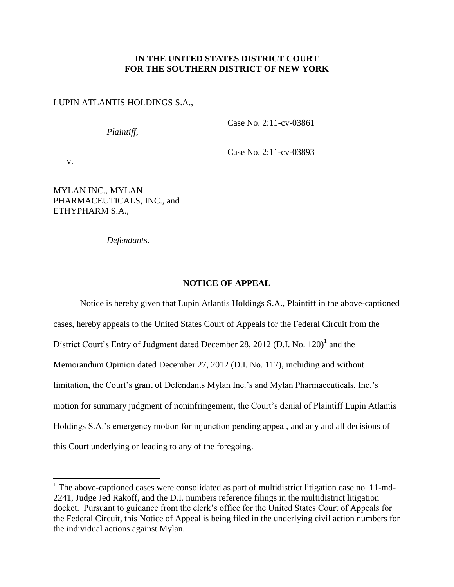## **IN THE UNITED STATES DISTRICT COURT FOR THE SOUTHERN DISTRICT OF NEW YORK**

LUPIN ATLANTIS HOLDINGS S.A.,

*Plaintiff*,

Case No. 2:11-cv-03861

Case No. 2:11-cv-03893

v.

 $\overline{a}$ 

MYLAN INC., MYLAN PHARMACEUTICALS, INC., and ETHYPHARM S.A.,

*Defendants*.

## **NOTICE OF APPEAL**

Notice is hereby given that Lupin Atlantis Holdings S.A., Plaintiff in the above-captioned cases, hereby appeals to the United States Court of Appeals for the Federal Circuit from the District Court's Entry of Judgment dated December 28, 2012 (D.I. No. 120)<sup>1</sup> and the Memorandum Opinion dated December 27, 2012 (D.I. No. 117), including and without limitation, the Court's grant of Defendants Mylan Inc.'s and Mylan Pharmaceuticals, Inc.'s motion for summary judgment of noninfringement, the Court's denial of Plaintiff Lupin Atlantis Holdings S.A.'s emergency motion for injunction pending appeal, and any and all decisions of this Court underlying or leading to any of the foregoing.

<sup>&</sup>lt;sup>1</sup> The above-captioned cases were consolidated as part of multidistrict litigation case no. 11-md-2241, Judge Jed Rakoff, and the D.I. numbers reference filings in the multidistrict litigation docket. Pursuant to guidance from the clerk's office for the United States Court of Appeals for the Federal Circuit, this Notice of Appeal is being filed in the underlying civil action numbers for the individual actions against Mylan.